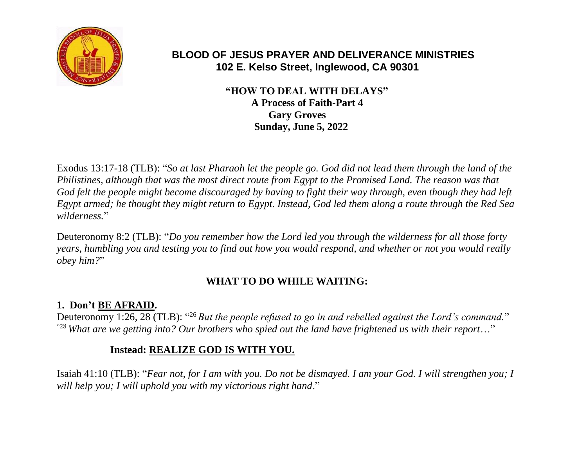

# **BLOOD OF JESUS PRAYER AND DELIVERANCE MINISTRIES 102 E. Kelso Street, Inglewood, CA 90301**

 **"HOW TO DEAL WITH DELAYS" A Process of Faith-Part 4 Gary Groves Sunday, June 5, 2022**

Exodus 13:17-18 (TLB): "*So at last Pharaoh let the people go. God did not lead them through the land of the Philistines, although that was the most direct route from Egypt to the Promised Land. The reason was that God felt the people might become discouraged by having to fight their way through, even though they had left Egypt armed; he thought they might return to Egypt. Instead, God led them along a route through the Red Sea wilderness.*"

Deuteronomy 8:2 (TLB): "*Do you remember how the Lord led you through the wilderness for all those forty years, humbling you and testing you to find out how you would respond, and whether or not you would really obey him?*"

# **WHAT TO DO WHILE WAITING:**

# **1. Don't BE AFRAID.**

Deuteronomy 1:26, 28 (TLB): "<sup>26</sup> But the people refused to go in and rebelled against the Lord's command." "28 *What are we getting into? Our brothers who spied out the land have frightened us with their report*…"

# **Instead: REALIZE GOD IS WITH YOU.**

Isaiah 41:10 (TLB): "*Fear not, for I am with you. Do not be dismayed. I am your God. I will strengthen you; I will help you; I will uphold you with my victorious right hand*."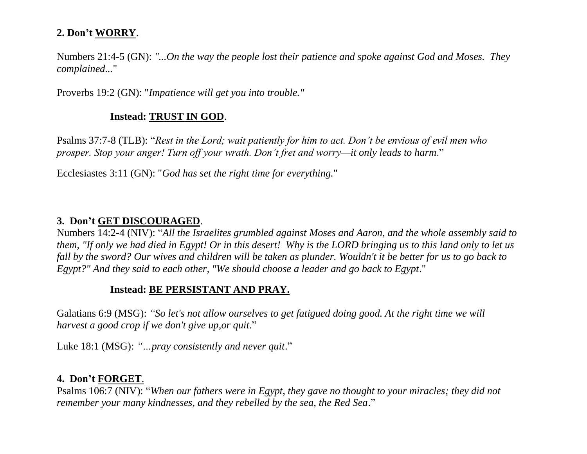#### **2. Don't WORRY**.

Numbers 21:4-5 (GN): *"...On the way the people lost their patience and spoke against God and Moses. They complained...*"

Proverbs 19:2 (GN): "*Impatience will get you into trouble."*

# **Instead: TRUST IN GOD**.

Psalms 37:7-8 (TLB): "*Rest in the Lord; wait patiently for him to act. Don't be envious of evil men who prosper. Stop your anger! Turn off your wrath. Don't fret and worry—it only leads to harm*."

Ecclesiastes 3:11 (GN): "*God has set the right time for everything.*"

# **3. Don't GET DISCOURAGED**.

Numbers 14:2-4 (NIV): "*All the Israelites grumbled against Moses and Aaron, and the whole assembly said to them, "If only we had died in Egypt! Or in this desert! Why is the LORD bringing us to this land only to let us fall by the sword? Our wives and children will be taken as plunder. Wouldn't it be better for us to go back to Egypt?" And they said to each other, "We should choose a leader and go back to Egypt*."

### **Instead: BE PERSISTANT AND PRAY.**

Galatians 6:9 (MSG): *"So let's not allow ourselves to get fatigued doing good. At the right time we will harvest a good crop if we don't give up,or quit*."

Luke 18:1 (MSG): *"…pray consistently and never quit*."

#### **4. Don't FORGET**.

Psalms 106:7 (NIV): "*When our fathers were in Egypt, they gave no thought to your miracles; they did not remember your many kindnesses, and they rebelled by the sea, the Red Sea*."